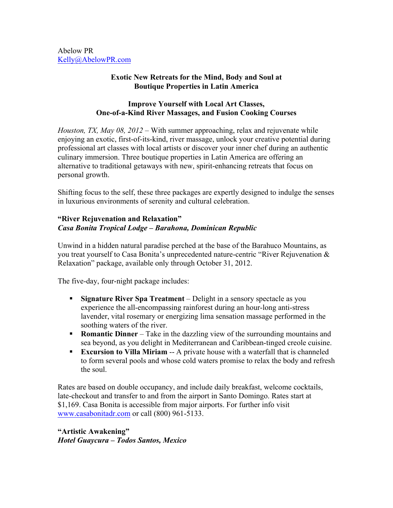Abelow PR Kelly@AbelowPR.com

## **Exotic New Retreats for the Mind, Body and Soul at Boutique Properties in Latin America**

## **Improve Yourself with Local Art Classes, One-of-a-Kind River Massages, and Fusion Cooking Courses**

*Houston, TX, May 08, 2012 –* With summer approaching, relax and rejuvenate while enjoying an exotic, first-of-its-kind, river massage, unlock your creative potential during professional art classes with local artists or discover your inner chef during an authentic culinary immersion. Three boutique properties in Latin America are offering an alternative to traditional getaways with new, spirit-enhancing retreats that focus on personal growth.

Shifting focus to the self, these three packages are expertly designed to indulge the senses in luxurious environments of serenity and cultural celebration.

## **"River Rejuvenation and Relaxation"** *Casa Bonita Tropical Lodge – Barahona, Dominican Republic*

Unwind in a hidden natural paradise perched at the base of the Barahuco Mountains, as you treat yourself to Casa Bonita's unprecedented nature-centric "River Rejuvenation & Relaxation" package, available only through October 31, 2012.

The five-day, four-night package includes:

- **Signature River Spa Treatment** Delight in a sensory spectacle as you experience the all-encompassing rainforest during an hour-long anti-stress lavender, vital rosemary or energizing lima sensation massage performed in the soothing waters of the river.
- **Romantic Dinner** Take in the dazzling view of the surrounding mountains and sea beyond, as you delight in Mediterranean and Caribbean-tinged creole cuisine.
- **Excursion to Villa Miriam** -- A private house with a waterfall that is channeled to form several pools and whose cold waters promise to relax the body and refresh the soul.

Rates are based on double occupancy, and include daily breakfast, welcome cocktails, late-checkout and transfer to and from the airport in Santo Domingo. Rates start at \$1,169. Casa Bonita is accessible from major airports. For further info visit www.casabonitadr.com or call (800) 961-5133.

**"Artistic Awakening"** *Hotel Guaycura – Todos Santos, Mexico*